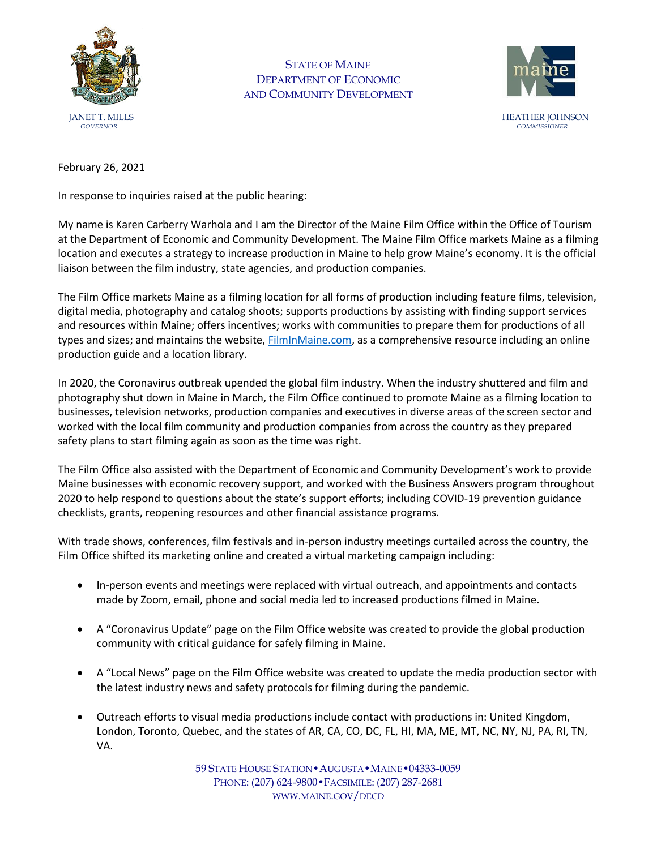

STATE OF MAINE DEPARTMENT OF ECONOMIC AND COMMUNITY DEVELOPMENT



February 26, 2021

In response to inquiries raised at the public hearing:

My name is Karen Carberry Warhola and I am the Director of the Maine Film Office within the Office of Tourism at the Department of Economic and Community Development. The Maine Film Office markets Maine as a filming location and executes a strategy to increase production in Maine to help grow Maine's economy. It is the official liaison between the film industry, state agencies, and production companies.

The Film Office markets Maine as a filming location for all forms of production including feature films, television, digital media, photography and catalog shoots; supports productions by assisting with finding support services and resources within Maine; offers incentives; works with communities to prepare them for productions of all types and sizes; and maintains the website, **FilmInMaine.com**, as a comprehensive resource including an online production guide and a location library.

In 2020, the Coronavirus outbreak upended the global film industry. When the industry shuttered and film and photography shut down in Maine in March, the Film Office continued to promote Maine as a filming location to businesses, television networks, production companies and executives in diverse areas of the screen sector and worked with the local film community and production companies from across the country as they prepared safety plans to start filming again as soon as the time was right.

The Film Office also assisted with the Department of Economic and Community Development's work to provide Maine businesses with economic recovery support, and worked with the Business Answers program throughout 2020 to help respond to questions about the state's support efforts; including COVID-19 prevention guidance checklists, grants, reopening resources and other financial assistance programs.

With trade shows, conferences, film festivals and in-person industry meetings curtailed across the country, the Film Office shifted its marketing online and created a virtual marketing campaign including:

- In-person events and meetings were replaced with virtual outreach, and appointments and contacts made by Zoom, email, phone and social media led to increased productions filmed in Maine.
- A "Coronavirus Update" page on the Film Office website was created to provide the global production community with critical guidance for safely filming in Maine.
- A "Local News" page on the Film Office website was created to update the media production sector with the latest industry news and safety protocols for filming during the pandemic.
- Outreach efforts to visual media productions include contact with productions in: United Kingdom, London, Toronto, Quebec, and the states of AR, CA, CO, DC, FL, HI, MA, ME, MT, NC, NY, NJ, PA, RI, TN, VA.

59 STATE HOUSE STATION•AUGUSTA•MAINE•04333-0059 PHONE: (207) 624-9800•FACSIMILE: (207) 287-2681 WWW.MAINE.GOV/DECD